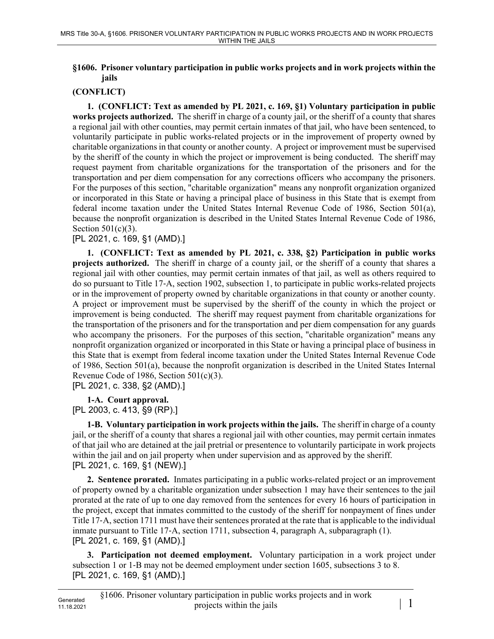## **§1606. Prisoner voluntary participation in public works projects and in work projects within the jails**

## **(CONFLICT)**

**1. (CONFLICT: Text as amended by PL 2021, c. 169, §1) Voluntary participation in public works projects authorized.** The sheriff in charge of a county jail, or the sheriff of a county that shares a regional jail with other counties, may permit certain inmates of that jail, who have been sentenced, to voluntarily participate in public works-related projects or in the improvement of property owned by charitable organizations in that county or another county. A project or improvement must be supervised by the sheriff of the county in which the project or improvement is being conducted. The sheriff may request payment from charitable organizations for the transportation of the prisoners and for the transportation and per diem compensation for any corrections officers who accompany the prisoners. For the purposes of this section, "charitable organization" means any nonprofit organization organized or incorporated in this State or having a principal place of business in this State that is exempt from federal income taxation under the United States Internal Revenue Code of 1986, Section 501(a), because the nonprofit organization is described in the United States Internal Revenue Code of 1986, Section  $501(c)(3)$ .

## [PL 2021, c. 169, §1 (AMD).]

**1. (CONFLICT: Text as amended by PL 2021, c. 338, §2) Participation in public works projects authorized.** The sheriff in charge of a county jail, or the sheriff of a county that shares a regional jail with other counties, may permit certain inmates of that jail, as well as others required to do so pursuant to Title 17‑A, section 1902, subsection 1, to participate in public works-related projects or in the improvement of property owned by charitable organizations in that county or another county. A project or improvement must be supervised by the sheriff of the county in which the project or improvement is being conducted. The sheriff may request payment from charitable organizations for the transportation of the prisoners and for the transportation and per diem compensation for any guards who accompany the prisoners. For the purposes of this section, "charitable organization" means any nonprofit organization organized or incorporated in this State or having a principal place of business in this State that is exempt from federal income taxation under the United States Internal Revenue Code of 1986, Section 501(a), because the nonprofit organization is described in the United States Internal Revenue Code of 1986, Section 501(c)(3).

[PL 2021, c. 338, §2 (AMD).]

**1-A. Court approval.** 

[PL 2003, c. 413, §9 (RP).]

**1-B. Voluntary participation in work projects within the jails.** The sheriff in charge of a county jail, or the sheriff of a county that shares a regional jail with other counties, may permit certain inmates of that jail who are detained at the jail pretrial or presentence to voluntarily participate in work projects within the jail and on jail property when under supervision and as approved by the sheriff. [PL 2021, c. 169, §1 (NEW).]

**2. Sentence prorated.** Inmates participating in a public works-related project or an improvement of property owned by a charitable organization under subsection 1 may have their sentences to the jail prorated at the rate of up to one day removed from the sentences for every 16 hours of participation in the project, except that inmates committed to the custody of the sheriff for nonpayment of fines under Title 17‑A, section 1711 must have their sentences prorated at the rate that is applicable to the individual inmate pursuant to Title 17‑A, section 1711, subsection 4, paragraph A, subparagraph (1). [PL 2021, c. 169, §1 (AMD).]

**3. Participation not deemed employment.** Voluntary participation in a work project under subsection 1 or 1-B may not be deemed employment under section 1605, subsections 3 to 8. [PL 2021, c. 169, §1 (AMD).]